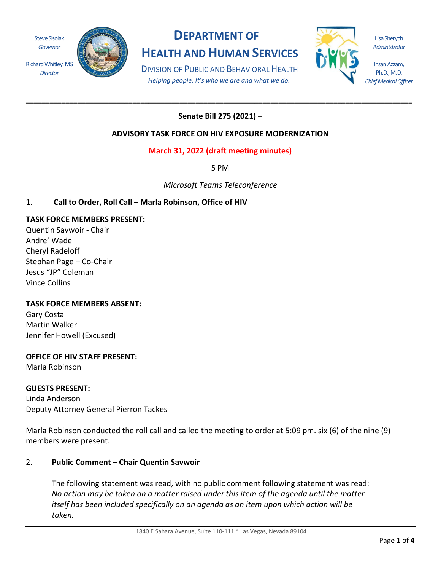Steve Sisolak *Governor*

*Director*



# **DEPARTMENT OF HEALTH AND HUMAN SERVICES**

DIVISION OF PUBLIC AND BEHAVIORAL HEALTH *Helping people. It's who we are and what we do.*



Lisa Sherych *Administrator*

Ihsan Azzam, Ph.D., M.D. *Chief Medical Officer*

## **Senate Bill 275 (2021) –**

**\_\_\_\_\_\_\_\_\_\_\_\_\_\_\_\_\_\_\_\_\_\_\_\_\_\_\_\_\_\_\_\_\_\_\_\_\_\_\_\_\_\_\_\_\_\_\_\_\_\_\_\_\_\_\_\_\_\_\_\_\_\_\_\_\_\_\_\_\_\_\_\_\_\_\_\_\_\_\_\_\_\_\_\_\_\_\_\_\_\_\_\_\_\_\_\_\_\_**

## **ADVISORY TASK FORCE ON HIV EXPOSURE MODERNIZATION**

## **March 31, 2022 (draft meeting minutes)**

5 PM

*Microsoft Teams Teleconference*

## 1. **Call to Order, Roll Call – Marla Robinson, Office of HIV**

#### **TASK FORCE MEMBERS PRESENT:**

Quentin Savwoir - Chair Andre' Wade Cheryl Radeloff Stephan Page – Co-Chair Jesus "JP" Coleman Vince Collins

## **TASK FORCE MEMBERS ABSENT:**

Gary Costa Martin Walker Jennifer Howell (Excused)

#### **OFFICE OF HIV STAFF PRESENT:**

Marla Robinson

#### **GUESTS PRESENT:**

Linda Anderson Deputy Attorney General Pierron Tackes

Marla Robinson conducted the roll call and called the meeting to order at 5:09 pm. six (6) of the nine (9) members were present.

#### 2. **Public Comment – Chair Quentin Savwoir**

The following statement was read, with no public comment following statement was read: *No action may be taken on a matter raised under this item of the agenda until the matter itself has been included specifically on an agenda as an item upon which action will be taken.*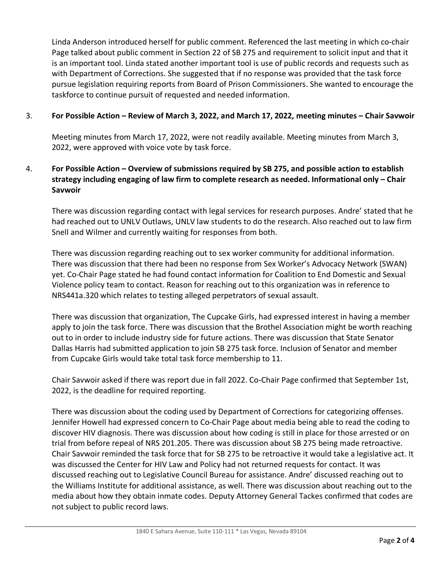Linda Anderson introduced herself for public comment. Referenced the last meeting in which co-chair Page talked about public comment in Section 22 of SB 275 and requirement to solicit input and that it is an important tool. Linda stated another important tool is use of public records and requests such as with Department of Corrections. She suggested that if no response was provided that the task force pursue legislation requiring reports from Board of Prison Commissioners. She wanted to encourage the taskforce to continue pursuit of requested and needed information.

#### 3. **For Possible Action – Review of March 3, 2022, and March 17, 2022, meeting minutes – Chair Savwoir**

Meeting minutes from March 17, 2022, were not readily available. Meeting minutes from March 3, 2022, were approved with voice vote by task force.

## 4. **For Possible Action – Overview of submissions required by SB 275, and possible action to establish strategy including engaging of law firm to complete research as needed. Informational only – Chair Savwoir**

There was discussion regarding contact with legal services for research purposes. Andre' stated that he had reached out to UNLV Outlaws, UNLV law students to do the research. Also reached out to law firm Snell and Wilmer and currently waiting for responses from both.

There was discussion regarding reaching out to sex worker community for additional information. There was discussion that there had been no response from Sex Worker's Advocacy Network (SWAN) yet. Co-Chair Page stated he had found contact information for Coalition to End Domestic and Sexual Violence policy team to contact. Reason for reaching out to this organization was in reference to NRS441a.320 which relates to testing alleged perpetrators of sexual assault.

There was discussion that organization, The Cupcake Girls, had expressed interest in having a member apply to join the task force. There was discussion that the Brothel Association might be worth reaching out to in order to include industry side for future actions. There was discussion that State Senator Dallas Harris had submitted application to join SB 275 task force. Inclusion of Senator and member from Cupcake Girls would take total task force membership to 11.

Chair Savwoir asked if there was report due in fall 2022. Co-Chair Page confirmed that September 1st, 2022, is the deadline for required reporting.

There was discussion about the coding used by Department of Corrections for categorizing offenses. Jennifer Howell had expressed concern to Co-Chair Page about media being able to read the coding to discover HIV diagnosis. There was discussion about how coding is still in place for those arrested or on trial from before repeal of NRS 201.205. There was discussion about SB 275 being made retroactive. Chair Savwoir reminded the task force that for SB 275 to be retroactive it would take a legislative act. It was discussed the Center for HIV Law and Policy had not returned requests for contact. It was discussed reaching out to Legislative Council Bureau for assistance. Andre' discussed reaching out to the Williams Institute for additional assistance, as well. There was discussion about reaching out to the media about how they obtain inmate codes. Deputy Attorney General Tackes confirmed that codes are not subject to public record laws.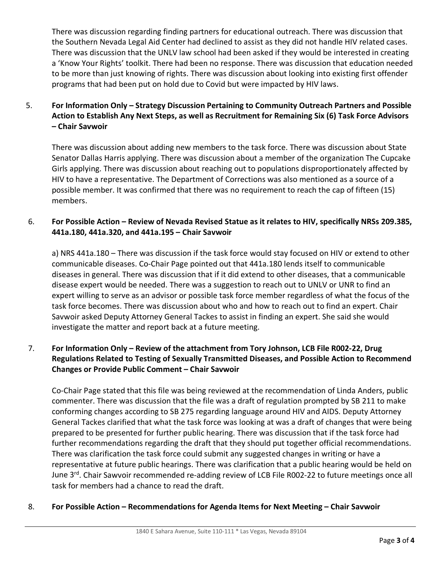There was discussion regarding finding partners for educational outreach. There was discussion that the Southern Nevada Legal Aid Center had declined to assist as they did not handle HIV related cases. There was discussion that the UNLV law school had been asked if they would be interested in creating a 'Know Your Rights' toolkit. There had been no response. There was discussion that education needed to be more than just knowing of rights. There was discussion about looking into existing first offender programs that had been put on hold due to Covid but were impacted by HIV laws.

## 5. **For Information Only – Strategy Discussion Pertaining to Community Outreach Partners and Possible Action to Establish Any Next Steps, as well as Recruitment for Remaining Six (6) Task Force Advisors – Chair Savwoir**

There was discussion about adding new members to the task force. There was discussion about State Senator Dallas Harris applying. There was discussion about a member of the organization The Cupcake Girls applying. There was discussion about reaching out to populations disproportionately affected by HIV to have a representative. The Department of Corrections was also mentioned as a source of a possible member. It was confirmed that there was no requirement to reach the cap of fifteen (15) members.

## 6. **For Possible Action – Review of Nevada Revised Statue as it relates to HIV, specifically NRSs 209.385, 441a.180, 441a.320, and 441a.195 – Chair Savwoir**

a) NRS 441a.180 – There was discussion if the task force would stay focused on HIV or extend to other communicable diseases. Co-Chair Page pointed out that 441a.180 lends itself to communicable diseases in general. There was discussion that if it did extend to other diseases, that a communicable disease expert would be needed. There was a suggestion to reach out to UNLV or UNR to find an expert willing to serve as an advisor or possible task force member regardless of what the focus of the task force becomes. There was discussion about who and how to reach out to find an expert. Chair Savwoir asked Deputy Attorney General Tackes to assist in finding an expert. She said she would investigate the matter and report back at a future meeting.

## 7. **For Information Only – Review of the attachment from Tory Johnson, LCB File R002-22, Drug Regulations Related to Testing of Sexually Transmitted Diseases, and Possible Action to Recommend Changes or Provide Public Comment – Chair Savwoir**

Co-Chair Page stated that this file was being reviewed at the recommendation of Linda Anders, public commenter. There was discussion that the file was a draft of regulation prompted by SB 211 to make conforming changes according to SB 275 regarding language around HIV and AIDS. Deputy Attorney General Tackes clarified that what the task force was looking at was a draft of changes that were being prepared to be presented for further public hearing. There was discussion that if the task force had further recommendations regarding the draft that they should put together official recommendations. There was clarification the task force could submit any suggested changes in writing or have a representative at future public hearings. There was clarification that a public hearing would be held on June 3<sup>rd</sup>. Chair Sawvoir recommended re-adding review of LCB File R002-22 to future meetings once all task for members had a chance to read the draft.

## 8. **For Possible Action – Recommendations for Agenda Items for Next Meeting – Chair Savwoir**